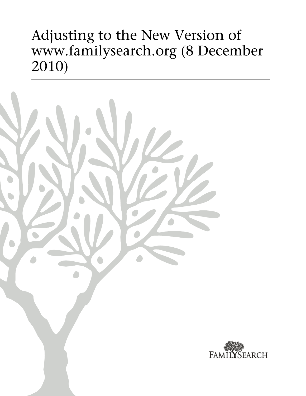# Adjusting to the New Version of www.familysearch.org (8 December 2010)



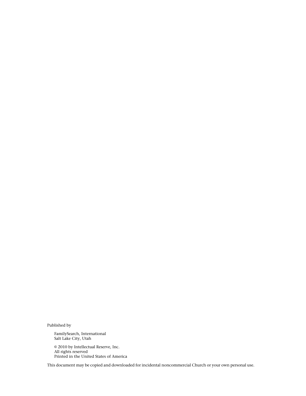Published by

FamilySearch, International Salt Lake City, Utah

© 2010 by Intellectual Reserve, Inc. All rights reserved Printed in the United States of America

This document may be copied and downloaded for incidental noncommercial Church or your own personal use.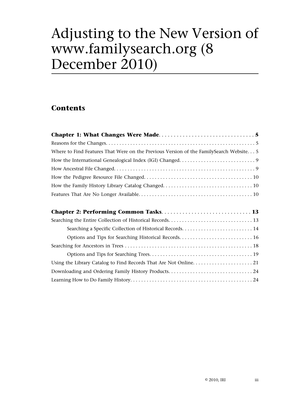# Adjusting to the New Version of www.familysearch.org (8 December 2010)

# **Contents**

| Where to Find Features That Were on the Previous Version of the FamilySearch Website 5 |
|----------------------------------------------------------------------------------------|
|                                                                                        |
|                                                                                        |
|                                                                                        |
|                                                                                        |
|                                                                                        |
|                                                                                        |
|                                                                                        |
|                                                                                        |
|                                                                                        |
|                                                                                        |
|                                                                                        |
|                                                                                        |
|                                                                                        |
|                                                                                        |
|                                                                                        |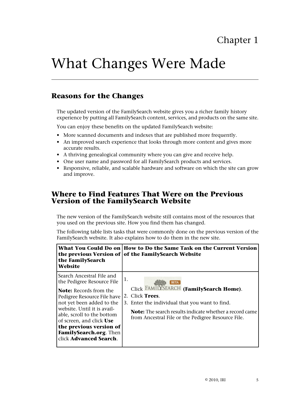# <span id="page-4-0"></span>What Changes Were Made

## <span id="page-4-1"></span>**Reasons for the Changes**

The updated version of the FamilySearch website gives you a richer family history experience by putting all FamilySearch content, services, and products on the same site.

You can enjoy these benefits on the updated FamilySearch website:

- More scanned documents and indexes that are published more frequently.
- An improved search experience that looks through more content and gives more accurate results.
- A thriving genealogical community where you can give and receive help.
- One user name and password for all FamilySearch products and services.
- <span id="page-4-2"></span>• Responsive, reliable, and scalable hardware and software on which the site can grow and improve.

### **Where to Find Features That Were on the Previous Version of the FamilySearch Website**

The new version of the FamilySearch website still contains most of the resources that you used on the previous site. How you find them has changed.

The following table lists tasks that were commonly done on the previous version of the FamilySearch website. It also explains how to do them in the new site.

| the FamilySearch                                                                                                                                                                                                                                                                                                               | What You Could Do on   How to Do the Same Task on the Current Version                                                                                                                                                                                     |
|--------------------------------------------------------------------------------------------------------------------------------------------------------------------------------------------------------------------------------------------------------------------------------------------------------------------------------|-----------------------------------------------------------------------------------------------------------------------------------------------------------------------------------------------------------------------------------------------------------|
| <b>Website</b>                                                                                                                                                                                                                                                                                                                 | the previous Version of of the FamilySearch Website                                                                                                                                                                                                       |
| l Search Ancestral File and<br>the Pedigree Resource File<br><b>Note:</b> Records from the<br>Pedigree Resource File have<br>not yet been added to the<br>website. Until it is avail-<br>able, scroll to the bottom<br>of screen, and click Use<br>the previous version of<br>FamilySearch.org. Then<br>click Advanced Search. | 1.<br><b>BETA</b><br>Click FAMILYSEARCH (FamilySearch Home).<br>2. Click Trees.<br>3. Enter the individual that you want to find.<br><b>Note:</b> The search results indicate whether a record came<br>from Ancestral File or the Pedigree Resource File. |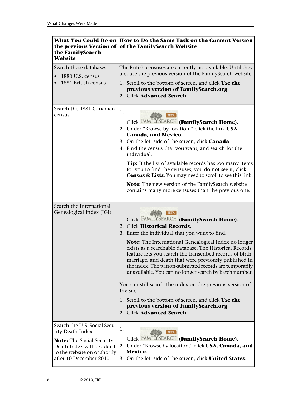| the FamilySearch                                      | What You Could Do on How to Do the Same Task on the Current Version                                                                                                                                                                                                                                                                                                                                                                                                                                                                                                                                                                                                                                                  |  |
|-------------------------------------------------------|----------------------------------------------------------------------------------------------------------------------------------------------------------------------------------------------------------------------------------------------------------------------------------------------------------------------------------------------------------------------------------------------------------------------------------------------------------------------------------------------------------------------------------------------------------------------------------------------------------------------------------------------------------------------------------------------------------------------|--|
| Website                                               | the previous Version of of the FamilySearch Website                                                                                                                                                                                                                                                                                                                                                                                                                                                                                                                                                                                                                                                                  |  |
| Search these databases:                               | The British censuses are currently not available. Until they                                                                                                                                                                                                                                                                                                                                                                                                                                                                                                                                                                                                                                                         |  |
| 1880 U.S. census                                      | are, use the previous version of the FamilySearch website.                                                                                                                                                                                                                                                                                                                                                                                                                                                                                                                                                                                                                                                           |  |
| 1881 British census                                   | 1. Scroll to the bottom of screen, and click Use the<br>previous version of FamilySearch.org.<br>2. Click Advanced Search.                                                                                                                                                                                                                                                                                                                                                                                                                                                                                                                                                                                           |  |
| Search the 1881 Canadian<br>census                    | 1.<br><b>BETA</b><br>Click FAMILYSEARCH (FamilySearch Home).<br>2. Under "Browse by location," click the link USA,<br><b>Canada, and Mexico.</b><br>3. On the left side of the screen, click <b>Canada</b> .<br>4. Find the census that you want, and search for the<br>individual.<br>Tip: If the list of available records has too many items<br>for you to find the censuses, you do not see it, click<br><b>Census &amp; Lists</b> . You may need to scroll to see this link.<br>Note: The new version of the FamilySearch website<br>contains many more censuses than the previous one.                                                                                                                         |  |
| Search the International<br>Genealogical Index (IGI). | 1.<br><b>BETA</b><br>Click FAMILYSEARCH (FamilySearch Home).<br>2. Click Historical Records.<br>3. Enter the individual that you want to find.<br>Note: The International Genealogical Index no longer<br>exists as a searchable database. The Historical Records<br>feature lets you search the transcribed records of birth,<br>marriage, and death that were previously published in<br>the index. The patron-submitted records are temporarily<br>unavailable. You can no longer search by batch number.<br>You can still search the index on the previous version of<br>the site:<br>1. Scroll to the bottom of screen, and click Use the<br>previous version of FamilySearch.org.<br>2. Click Advanced Search. |  |
| Search the U.S. Social Secu-                          | 1.                                                                                                                                                                                                                                                                                                                                                                                                                                                                                                                                                                                                                                                                                                                   |  |
| rity Death Index.                                     | <b>BETA</b>                                                                                                                                                                                                                                                                                                                                                                                                                                                                                                                                                                                                                                                                                                          |  |
| <b>Note:</b> The Social Security                      | Click FAMILYSEARCH (FamilySearch Home).                                                                                                                                                                                                                                                                                                                                                                                                                                                                                                                                                                                                                                                                              |  |
| Death Index will be added                             | 2. Under "Browse by location," click USA, Canada, and                                                                                                                                                                                                                                                                                                                                                                                                                                                                                                                                                                                                                                                                |  |
| to the website on or shortly                          | Mexico.                                                                                                                                                                                                                                                                                                                                                                                                                                                                                                                                                                                                                                                                                                              |  |
| after 10 December 2010.                               | 3. On the left side of the screen, click <b>United States</b> .                                                                                                                                                                                                                                                                                                                                                                                                                                                                                                                                                                                                                                                      |  |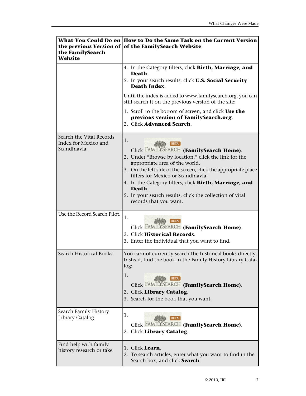| the FamilySearch<br>Website                                      | What You Could Do on How to Do the Same Task on the Current Version<br>the previous Version of of the FamilySearch Website                                                                                                                                                                                                                                                                                                |  |  |
|------------------------------------------------------------------|---------------------------------------------------------------------------------------------------------------------------------------------------------------------------------------------------------------------------------------------------------------------------------------------------------------------------------------------------------------------------------------------------------------------------|--|--|
|                                                                  | 4. In the Category filters, click Birth, Marriage, and<br>Death.<br>5. In your search results, click <b>U.S. Social Security</b><br><b>Death Index.</b>                                                                                                                                                                                                                                                                   |  |  |
|                                                                  | Until the index is added to www.familysearch.org, you can<br>still search it on the previous version of the site:                                                                                                                                                                                                                                                                                                         |  |  |
|                                                                  | 1. Scroll to the bottom of screen, and click Use the<br>previous version of FamilySearch.org.<br>2. Click Advanced Search.                                                                                                                                                                                                                                                                                                |  |  |
| Search the Vital Records<br>Index for Mexico and<br>Scandinavia. | 1.<br><b>BETA</b><br>Click FAMILYSEARCH (FamilySearch Home).<br>2. Under "Browse by location," click the link for the<br>appropriate area of the world.<br>3. On the left side of the screen, click the appropriate place<br>filters for Mexico or Scandinavia.<br>4. In the Category filters, click Birth, Marriage, and<br>Death.<br>5. In your search results, click the collection of vital<br>records that you want. |  |  |
| Use the Record Search Pilot.                                     | 1.<br><b>BETA</b><br>Click FAMILYSEARCH (FamilySearch Home).<br>2. Click Historical Records.<br>3. Enter the individual that you want to find.                                                                                                                                                                                                                                                                            |  |  |
| Search Historical Books.                                         | You cannot currently search the historical books directly.<br>Instead, find the book in the Family History Library Cata-<br>log:<br>1.<br><b>BETA</b><br>Click FAMILYSEARCH (FamilySearch Home).<br>2. Click Library Catalog.<br>3. Search for the book that you want.                                                                                                                                                    |  |  |
| Search Family History<br>Library Catalog.                        | 1.<br>BET/<br>Click FAMILYSEARCH (FamilySearch Home).<br>2. Click Library Catalog.                                                                                                                                                                                                                                                                                                                                        |  |  |
| Find help with family<br>history research or take                | 1. Click Learn.<br>2. To search articles, enter what you want to find in the<br>Search box, and click Search.                                                                                                                                                                                                                                                                                                             |  |  |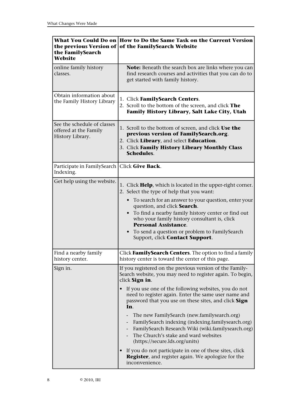| the FamilySearch<br>Website                                              | What You Could Do on How to Do the Same Task on the Current Version<br>the previous Version of of the FamilySearch Website                                                                                                                                                                                                                                                                                                                                                                                                                                                                                                                                                                                                       |  |
|--------------------------------------------------------------------------|----------------------------------------------------------------------------------------------------------------------------------------------------------------------------------------------------------------------------------------------------------------------------------------------------------------------------------------------------------------------------------------------------------------------------------------------------------------------------------------------------------------------------------------------------------------------------------------------------------------------------------------------------------------------------------------------------------------------------------|--|
| online family history<br>classes.                                        | <b>Note:</b> Beneath the search box are links where you can<br>find research courses and activities that you can do to<br>get started with family history.                                                                                                                                                                                                                                                                                                                                                                                                                                                                                                                                                                       |  |
| Obtain information about<br>the Family History Library                   | 1. Click FamilySearch Centers.<br>2. Scroll to the bottom of the screen, and click The<br>Family History Library, Salt Lake City, Utah                                                                                                                                                                                                                                                                                                                                                                                                                                                                                                                                                                                           |  |
| See the schedule of classes<br>offered at the Family<br>History Library. | 1. Scroll to the bottom of screen, and click Use the<br>previous version of FamilySearch.org.<br>2. Click Library, and select Education.<br>3. Click Family History Library Monthly Class<br><b>Schedules.</b>                                                                                                                                                                                                                                                                                                                                                                                                                                                                                                                   |  |
| Participate in FamilySearch<br>Indexing.                                 | Click Give Back.                                                                                                                                                                                                                                                                                                                                                                                                                                                                                                                                                                                                                                                                                                                 |  |
| Get help using the website.                                              | 1. Click Help, which is located in the upper-right corner.<br>2. Select the type of help that you want:<br>To search for an answer to your question, enter your<br>$\bullet$<br>question, and click Search.<br>To find a nearby family history center or find out<br>who your family history consultant is, click<br><b>Personal Assistance.</b><br>To send a question or problem to FamilySearch<br>Support, click Contact Support.                                                                                                                                                                                                                                                                                             |  |
| Find a nearby family<br>history center.                                  | Click FamilySearch Centers. The option to find a family<br>history center is toward the center of this page.                                                                                                                                                                                                                                                                                                                                                                                                                                                                                                                                                                                                                     |  |
| Sign in.                                                                 | If you registered on the previous version of the Family-<br>Search website, you may need to register again. To begin,<br>click Sign in.<br>If you use one of the following websites, you do not<br>need to register again. Enter the same user name and<br>password that you use on these sites, and click Sign<br>In.<br>The new FamilySearch (new.familysearch.org)<br>FamilySearch indexing (indexing.familysearch.org)<br>$\overline{\phantom{a}}$<br>FamilySearch Research Wiki (wiki.familysearch.org)<br>The Church's stake and ward websites<br>(https://secure.lds.org/units)<br>If you do not participate in one of these sites, click<br><b>Register</b> , and register again. We apologize for the<br>inconvenience. |  |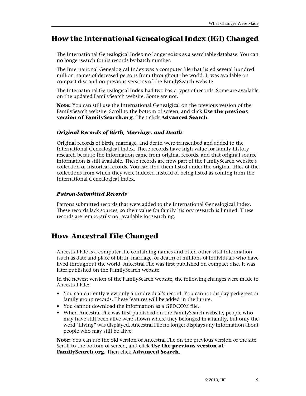## <span id="page-8-0"></span>**How the International Genealogical Index (IGI) Changed**

The International Genealogical Index no longer exists as a searchable database. You can no longer search for its records by batch number.

The International Genealogical Index was a computer file that listed several hundred million names of deceased persons from throughout the world. It was available on compact disc and on previous versions of the FamilySearch website.

The International Genealogical Index had two basic types of records. Some are available on the updated FamilySearch website. Some are not.

**Note:** You can still use the International Genealgical on the previous version of the FamilySearch website. Scroll to the bottom of screen, and click **Use the previous version of FamilySearch.org**. Then click **Advanced Search**.

#### *Original Records of Birth, Marriage, and Death*

Original records of birth, marriage, and death were transcribed and added to the International Genealogical Index. These records have high value for family history research because the information came from original records, and that original source information is still available. These records are now part of the FamilySearch website's collection of historical records. You can find them listed under the original titles of the collections from which they were indexed instead of being listed as coming from the International Genealogical Index.

#### *Patron-Submitted Records*

<span id="page-8-1"></span>Patrons submitted records that were added to the International Genealogical Index. These records lack sources, so their value for family history research is limited. These records are temporarily not available for searching.

## **How Ancestral File Changed**

Ancestral File is a computer file containing names and often other vital information (such as date and place of birth, marriage, or death) of millions of individuals who have lived throughout the world. Ancestral File was first published on compact disc. It was later published on the FamilySearch website.

In the newest version of the FamilySearch website, the following changes were made to Ancestral File:

- You can currently view only an individual's record. You cannot display pedigrees or family group records. These features will be added in the future.
- You cannot download the information as a GEDCOM file.
- When Ancestral File was first published on the FamilySearch website, people who may have still been alive were shown where they belonged in a family, but only the word "Living" was displayed. Ancestral File no longer displays any information about people who may still be alive.

**Note:** You can use the old version of Ancestral File on the previous version of the site. Scroll to the bottom of screen, and click **Use the previous version of FamilySearch.org**. Then click **Advanced Search**.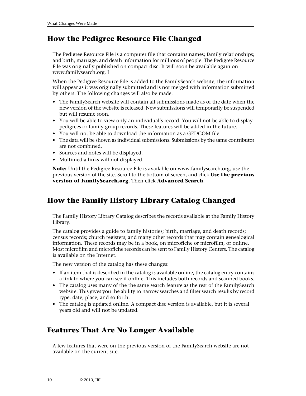## <span id="page-9-0"></span>**How the Pedigree Resource File Changed**

The Pedigree Resource File is a computer file that contains names; family relationships; and birth, marriage, and death information for millions of people. The Pedigree Resource File was originally published on compact disc. It will soon be available again on www.familysearch.org. I

When the Pedigree Resource File is added to the FamilySearch website, the information will appear as it was originally submitted and is not merged with information submitted by others. The following changes will also be made:

- The FamilySearch website will contain all submissions made as of the date when the new version of the website is released. New submissions will temporarily be suspended but will resume soon.
- You will be able to view only an individual's record. You will not be able to display pedigrees or family group records. These features will be added in the future.
- You will not be able to download the information as a GEDCOM file.
- The data will be shown as individual submissions. Submissions by the same contributor are not combined.
- Sources and notes will be displayed.
- Multimedia links will not displayed.

<span id="page-9-1"></span>**Note:** Until the Pedigree Resource File is available on www.familysearch.org, use the previous version of the site. Scroll to the bottom of screen, and click **Use the previous version of FamilySearch.org**. Then click **Advanced Search**.

# **How the Family History Library Catalog Changed**

The Family History Library Catalog describes the records available at the Family History Library.

The catalog provides a guide to family histories; birth, marriage, and death records; census records; church registers; and many other records that may contain genealogical information. These records may be in a book, on microfiche or microfilm, or online. Most microfilm and microfiche records can be sent to Family History Centers. The catalog is available on the Internet.

The new version of the catalog has these changes:

- If an item that is described in the catalog is available online, the catalog entry contains a link to where you can see it online. This includes both records and scanned books.
- The catalog uses many of the the same search feature as the rest of the FamilySearch website. This gives you the ability to narrow searches and filter search results by record type, date, place, and so forth.
- <span id="page-9-2"></span>• The catalog is updated online. A compact disc version is available, but it is several years old and will not be updated.

# **Features That Are No Longer Available**

A few features that were on the previous version of the FamilySearch website are not available on the current site.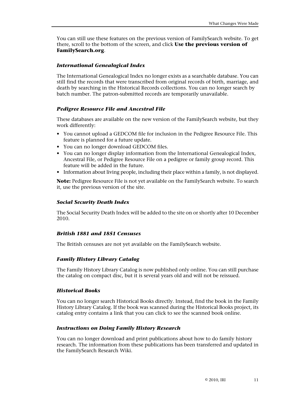You can still use these features on the previous version of FamilySearch website. To get there, scroll to the bottom of the screen, and click **Use the previous version of FamilySearch.org**.

#### *International Genealogical Index*

The International Genealogical Index no longer exists as a searchable database. You can still find the records that were transcribed from original records of birth, marriage, and death by searching in the Historical Records collections. You can no longer search by batch number. The patron-submitted records are temporarily unavailable.

#### *Pedigree Resource File and Ancestral File*

These databases are available on the new version of the FamilySearch website, but they work differently:

- You cannot upload a GEDCOM file for inclusion in the Pedigree Resource File. This feature is planned for a future update.
- You can no longer download GEDCOM files.
- You can no longer display information from the International Genealogical Index, Ancestral File, or Pedigree Resource File on a pedigree or family group record. This feature will be added in the future.
- Information about living people, including their place within a family, is not displayed.

**Note:** Pedigree Resource File is not yet available on the FamilySearch website. To search it, use the previous version of the site.

#### *Social Security Death Index*

The Social Security Death Index will be added to the site on or shortly after 10 December 2010.

#### *British 1881 and 1851 Censuses*

The British censuses are not yet available on the FamilySearch website.

#### *Family History Library Catalog*

The Family History Library Catalog is now published only online. You can still purchase the catalog on compact disc, but it is several years old and will not be reissued.

#### *Historical Books*

You can no longer search Historical Books directly. Instead, find the book in the Family History Library Catalog. If the book was scanned during the Historical Books project, its catalog entry contains a link that you can click to see the scanned book online.

#### *Instructions on Doing Family History Research*

You can no longer download and print publications about how to do family history research. The information from these publications has been transferred and updated in the FamilySearch Research Wiki.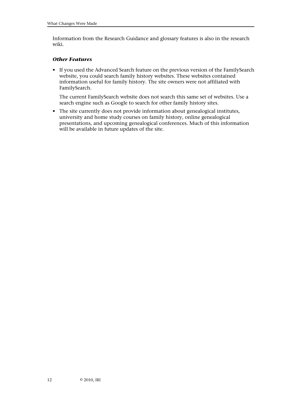Information from the Research Guidance and glossary features is also in the research wiki.

#### *Other Features*

• If you used the Advanced Search feature on the previous version of the FamilySearch website, you could search family history websites. These websites contained information useful for family history. The site owners were not affiliated with FamilySearch.

The current FamilySearch website does not search this same set of websites. Use a search engine such as Google to search for other family history sites.

• The site currently does not provide information about genealogical institutes, university and home study courses on family history, online genealogical presentations, and upcoming genealogical conferences. Much of this information will be available in future updates of the site.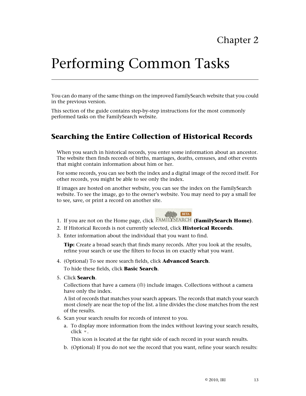# <span id="page-12-0"></span>Performing Common Tasks

You can do many of the same things on the improved FamilySearch website that you could in the previous version.

<span id="page-12-1"></span>This section of the guide contains step-by-step instructions for the most commonly performed tasks on the FamilySearch website.

## **Searching the Entire Collection of Historical Records**

When you search in historical records, you enter some information about an ancestor. The website then finds records of births, marriages, deaths, censuses, and other events that might contain information about him or her.

For some records, you can see both the index and a digital image of the record itself. For other records, you might be able to see only the index.

If images are hosted on another website, you can see the index on the FamilySearch website. To see the image, go to the owner's website. You may need to pay a small fee to see, save, or print a record on another site.



- 1. If you are not on the Home page, click **FAMILYSEARCH** (FamilySearch Home).
- 2. If Historical Records is not currently selected, click **Historical Records**.
- 3. Enter information about the individual that you want to find.

**Tip:** Create a broad search that finds many records. After you look at the results, refine your search or use the filters to focus in on exactly what you want.

- 4. (Optional) To see more search fields, click **Advanced Search**. To hide these fields, click **Basic Search**.
- 5. Click **Search**.

Collections that have a camera  $(\circ)$  include images. Collections without a camera have only the index.

A list of records that matches your search appears. The records that match your search most closely are near the top of the list. a line divides the close matches from the rest of the results.

- 6. Scan your search results for records of interest to you.
	- a. To display more information from the index without leaving your search results, click  $\overline{\phantom{a}}$ .

This icon is located at the far right side of each record in your search results.

b. (Optional) If you do not see the record that you want, refine your search results: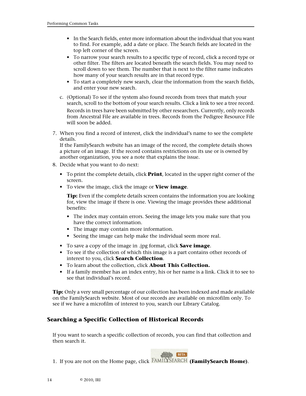- In the Search fields, enter more information about the individual that you want to find. For example, add a date or place. The Search fields are located in the top left corner of the screen.
- To narrow your search results to a specific type of record, click a record type or other filter. The filters are located beneath the search fields. You may need to scroll down to see them. The number that is next to the filter name indicates how many of your search results are in that record type.
- To start a completely new search, clear the information from the search fields, and enter your new search.
- c. (Optional) To see if the system also found records from trees that match your search, scroll to the bottom of your search results. Click a link to see a tree record. Records in trees have been submitted by other researchers. Currently, only records from Ancestral File are available in trees. Records from the Pedigree Resource File will soon be added.
- 7. When you find a record of interest, click the individual's name to see the complete details.

If the FamilySearch website has an image of the record, the complete details shows a picture of an image. If the record contains restrictions on its use or is owned by another organization, you see a note that explains the issue.

- 8. Decide what you want to do next:
	- To print the complete details, click **Print**, located in the upper right corner of the screen.
	- To view the image, click the image or **View image**.

**Tip:** Even if the complete details screen contains the information you are looking for, view the image if there is one. Viewing the image provides these additional benefits:

- The index may contain errors. Seeing the image lets you make sure that you have the correct information.
- The image may contain more information.
- Seeing the image can help make the individual seem more real.
- To save a copy of the image in .jpg format, click **Save image**.
- To see if the collection of which this image is a part contains other records of interest to you, click **Search Collection**.
- To learn about the collection, click **About This Collection.**
- If a family member has an index entry, his or her name is a link. Click it to see to see that individual's record.

<span id="page-13-0"></span>**Tip:** Only a very small percentage of our collection has been indexed and made available on the FamilySearch website. Most of our records are available on microfilm only. To see if we have a microfilm of interest to you, search our Library Catalog.

#### **Searching a Specific Collection of Historical Records**

If you want to search a specific collection of records, you can find that collection and then search it.



1. If you are not on the Home page, click **FAMILYSEARCH** (**FamilySearch Home**).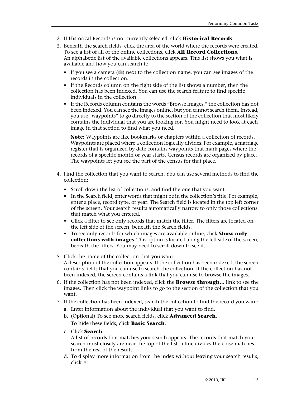- 2. If Historical Records is not currently selected, click **Historical Records**.
- 3. Beneath the search fields, click the area of the world where the records were created. To see a list of all of the online collections, click **All Record Collections**. An alphabetic list of the available collections appears. This list shows you what is available and how you can search it:
	- If you see a camera  $($ ) next to the collection name, you can see images of the records in the collection.
	- If the Records column on the right side of the list shows a number, then the collection has been indexed. You can use the search feature to find specific individuals in the collection.
	- If the Records column contains the words "Browse Images," the collection has not been indexed. You can see the images online, but you cannot search them. Instead, you use "waypoints" to go directly to the section of the collection that most likely contains the individual that you are looking for. You might need to look at each image in that section to find what you need.

**Note:** Waypoints are like bookmarks or chapters within a collection of records. Waypoints are placed where a collection logically divides. For example, a marriage register that is organized by date contains waypoints that mark pages where the records of a specific month or year starts. Census records are organized by place. The waypoints let you see the part of the census for that place.

- 4. Find the collection that you want to search. You can use several methods to find the collection:
	- Scroll down the list of collections, and find the one that you want.
	- In the Search field, enter words that might be in the collection's title. For example, enter a place, record type, or year. The Search field is located in the top left corner of the screen. Your search results automatically narrow to only those collections that match what you entered.
	- Click a filter to see only records that match the filter. The filters are located on the left side of the screen, beneath the Search fields.
	- To see only records for which images are available online, click **Show only collections with images**. This option is located along the left side of the screen, beneath the filters. You may need to scroll down to see it.
- 5. Click the name of the collection that you want. A description of the collection appears. If the collection has been indexed, the screen contains fields that you can use to search the collection. If the collection has not been indexed, the screen contains a link that you can use to browse the images.
- 6. If the collection has not been indexed, click the **Browse through…** link to see the images. Then click the waypoint links to go to the section of the collection that you want.
- 7. If the collection has been indexed, search the collection to find the record you want:
	- a. Enter information about the individual that you want to find.
	- b. (Optional) To see more search fields, click **Advanced Search**. To hide these fields, click **Basic Search**.
	- c. Click **Search**.

A list of records that matches your search appears. The records that match your search most closely are near the top of the list. a line divides the close matches from the rest of the results.

d. To display more information from the index without leaving your search results,  $click$ .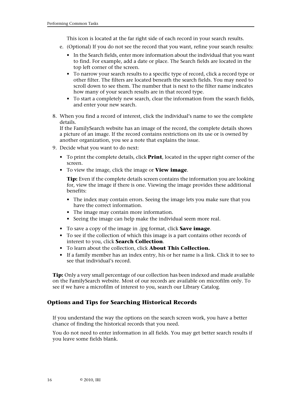This icon is located at the far right side of each record in your search results.

- e. (Optional) If you do not see the record that you want, refine your search results:
	- In the Search fields, enter more information about the individual that you want to find. For example, add a date or place. The Search fields are located in the top left corner of the screen.
	- To narrow your search results to a specific type of record, click a record type or other filter. The filters are located beneath the search fields. You may need to scroll down to see them. The number that is next to the filter name indicates how many of your search results are in that record type.
	- To start a completely new search, clear the information from the search fields, and enter your new search.
- 8. When you find a record of interest, click the individual's name to see the complete details.

If the FamilySearch website has an image of the record, the complete details shows a picture of an image. If the record contains restrictions on its use or is owned by another organization, you see a note that explains the issue.

- 9. Decide what you want to do next:
	- To print the complete details, click **Print**, located in the upper right corner of the screen.
	- To view the image, click the image or **View image**.

**Tip:** Even if the complete details screen contains the information you are looking for, view the image if there is one. Viewing the image provides these additional benefits:

- The index may contain errors. Seeing the image lets you make sure that you have the correct information.
- The image may contain more information.
- Seeing the image can help make the individual seem more real.
- To save a copy of the image in .jpg format, click **Save image**.
- To see if the collection of which this image is a part contains other records of interest to you, click **Search Collection**.
- To learn about the collection, click **About This Collection.**
- If a family member has an index entry, his or her name is a link. Click it to see to see that individual's record.

<span id="page-15-0"></span>**Tip:** Only a very small percentage of our collection has been indexed and made available on the FamilySearch website. Most of our records are available on microfilm only. To see if we have a microfilm of interest to you, search our Library Catalog.

#### **Options and Tips for Searching Historical Records**

If you understand the way the options on the search screen work, you have a better chance of finding the historical records that you need.

You do not need to enter information in all fields. You may get better search results if you leave some fields blank.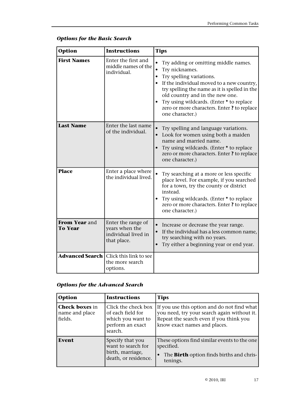| <b>Option</b>                   | <b>Instructions</b>                                                            | <b>Tips</b>                                                                                                                                                                                                                                                                                                                      |
|---------------------------------|--------------------------------------------------------------------------------|----------------------------------------------------------------------------------------------------------------------------------------------------------------------------------------------------------------------------------------------------------------------------------------------------------------------------------|
| <b>First Names</b>              | Enter the first and<br>middle names of the<br>individual.                      | Try adding or omitting middle names.<br>Try nicknames.<br>Try spelling variations.<br>If the individual moved to a new country,<br>try spelling the name as it is spelled in the<br>old country and in the new one.<br>Try using wildcards. (Enter * to replace<br>zero or more characters. Enter? to replace<br>one character.) |
| <b>Last Name</b>                | Enter the last name<br>of the individual.                                      | Try spelling and language variations.<br>Look for women using both a maiden<br>name and married name.<br>Try using wildcards. (Enter * to replace<br>zero or more characters. Enter? to replace<br>one character.)                                                                                                               |
| <b>Place</b>                    | Enter a place where<br>the individual lived.                                   | Try searching at a more or less specific<br>place level. For example, if you searched<br>for a town, try the county or district<br>instead.<br>Try using wildcards. (Enter * to replace<br>zero or more characters. Enter? to replace<br>one character.)                                                                         |
| From Year and<br><b>To Year</b> | Enter the range of<br>years when the<br>individual lived in<br>that place.     | Increase or decrease the year range.<br>If the individual has a less common name,<br>try searching with no years.<br>Try either a beginning year or end year.                                                                                                                                                                    |
|                                 | <b>Advanced Search</b>   Click this link to see<br>the more search<br>options. |                                                                                                                                                                                                                                                                                                                                  |

### *Options for the Basic Search*

### *Options for the Advanced Search*

| Option                                             | <b>Instructions</b>                                                                          | <b>Tips</b>                                                                                                                                                           |
|----------------------------------------------------|----------------------------------------------------------------------------------------------|-----------------------------------------------------------------------------------------------------------------------------------------------------------------------|
| <b>Check boxes</b> in<br>name and place<br>fields. | Click the check box<br>of each field for<br>which you want to<br>perform an exact<br>search. | If you use this option and do not find what<br>you need, try your search again without it.<br>Repeat the search even if you think you<br>know exact names and places. |
| Event                                              | Specify that you<br>want to search for<br>birth, marriage,<br>death, or residence.           | These options find similar events to the one<br>specified.<br>The <b>Birth</b> option finds births and chris-<br>tenings.                                             |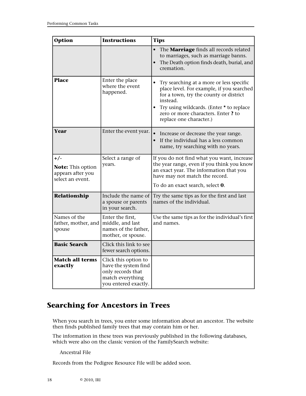| Option                                                                     | <b>Instructions</b>                                                                                           | <b>Tips</b>                                                                                                                                                                                                                                                           |
|----------------------------------------------------------------------------|---------------------------------------------------------------------------------------------------------------|-----------------------------------------------------------------------------------------------------------------------------------------------------------------------------------------------------------------------------------------------------------------------|
|                                                                            |                                                                                                               | The Marriage finds all records related<br>to marriages, such as marriage banns.<br>The Death option finds death, burial, and<br>cremation.                                                                                                                            |
| <b>Place</b>                                                               | Enter the place<br>where the event<br>happened.                                                               | Try searching at a more or less specific<br>place level. For example, if you searched<br>for a town, try the county or district<br>instead.<br>Try using wildcards. (Enter * to replace<br>$\bullet$<br>zero or more characters. Enter? to<br>replace one character.) |
| Year                                                                       | Enter the event year.                                                                                         | Increase or decrease the year range.<br>If the individual has a less common<br>name, try searching with no years.                                                                                                                                                     |
| $+/-$<br><b>Note:</b> This option<br>appears after you<br>select an event. | Select a range of<br>years.                                                                                   | If you do not find what you want, increase<br>the year range, even if you think you know<br>an exact year. The information that you<br>have may not match the record.<br>To do an exact search, select 0.                                                             |
| Relationship                                                               | Include the name of<br>a spouse or parents<br>in your search.                                                 | Try the same tips as for the first and last<br>names of the individual.                                                                                                                                                                                               |
| Names of the<br>father, mother, and<br>spouse                              | Enter the first,<br>middle, and last<br>names of the father,<br>mother, or spouse.                            | Use the same tips as for the individual's first<br>and names.                                                                                                                                                                                                         |
| <b>Basic Search</b>                                                        | Click this link to see<br>fewer search options.                                                               |                                                                                                                                                                                                                                                                       |
| <b>Match all terms</b><br>exactly                                          | Click this option to<br>have the system find<br>only records that<br>match everything<br>you entered exactly. |                                                                                                                                                                                                                                                                       |

# <span id="page-17-0"></span>**Searching for Ancestors in Trees**

When you search in trees, you enter some information about an ancestor. The website then finds published family trees that may contain him or her.

The information in these trees was previously published in the following databases, which were also on the classic version of the FamilySearch website:

Ancestral File

Records from the Pedigree Resource File will be added soon.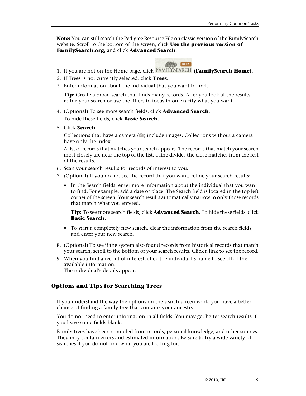**Note:** You can still search the Pedigree Resource File on classic version of the FamilySearch website. Scroll to the bottom of the screen, click **Use the previous version of FamilySearch.org**, and click **Advanced Search**.



- 1. If you are not on the Home page, click **FAMILYSEARCH** (FamilySearch Home).
- 2. If Trees is not currently selected, click **Trees**.
- 3. Enter information about the individual that you want to find.

**Tip:** Create a broad search that finds many records. After you look at the results, refine your search or use the filters to focus in on exactly what you want.

- 4. (Optional) To see more search fields, click **Advanced Search**. To hide these fields, click **Basic Search**.
- 5. Click **Search**.

Collections that have a camera  $(\circ)$  include images. Collections without a camera have only the index.

A list of records that matches your search appears. The records that match your search most closely are near the top of the list. a line divides the close matches from the rest of the results.

- 6. Scan your search results for records of interest to you.
- 7. (Optional) If you do not see the record that you want, refine your search results:
	- In the Search fields, enter more information about the individual that you want to find. For example, add a date or place. The Search field is located in the top left corner of the screen. Your search results automatically narrow to only those records that match what you entered.

**Tip:** To see more search fields, click **Advanced Search**. To hide these fields, click **Basic Search**.

- To start a completely new search, clear the information from the search fields, and enter your new search.
- 8. (Optional) To see if the system also found records from historical records that match your search, scroll to the bottom of your search results. Click a link to see the record.
- <span id="page-18-0"></span>9. When you find a record of interest, click the individual's name to see all of the available information. The individual's details appear.

#### **Options and Tips for Searching Trees**

If you understand the way the options on the search screen work, you have a better chance of finding a family tree that contains your ancestry.

You do not need to enter information in all fields. You may get better search results if you leave some fields blank.

Family trees have been compiled from records, personal knowledge, and other sources. They may contain errors and estimated information. Be sure to try a wide variety of searches if you do not find what you are looking for.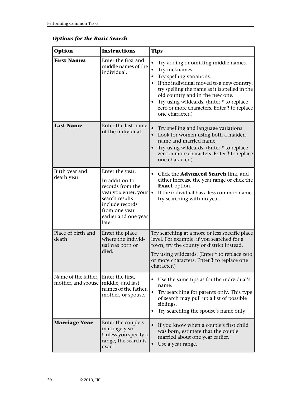| <b>Options for the Basic Search</b> |  |  |  |  |
|-------------------------------------|--|--|--|--|
|-------------------------------------|--|--|--|--|

| <b>Option</b>                             | <b>Instructions</b>                                                                                                                                                   | <b>Tips</b>                                                                                                                                                                                                                                                                                                                      |
|-------------------------------------------|-----------------------------------------------------------------------------------------------------------------------------------------------------------------------|----------------------------------------------------------------------------------------------------------------------------------------------------------------------------------------------------------------------------------------------------------------------------------------------------------------------------------|
| <b>First Names</b>                        | Enter the first and<br>middle names of the<br>individual.                                                                                                             | Try adding or omitting middle names.<br>Try nicknames.<br>Try spelling variations.<br>If the individual moved to a new country,<br>try spelling the name as it is spelled in the<br>old country and in the new one.<br>Try using wildcards. (Enter * to replace<br>zero or more characters. Enter? to replace<br>one character.) |
| <b>Last Name</b>                          | Enter the last name<br>of the individual.                                                                                                                             | Try spelling and language variations.<br>Look for women using both a maiden<br>name and married name.<br>Try using wildcards. (Enter * to replace<br>zero or more characters. Enter ? to replace<br>one character.)                                                                                                              |
| Birth year and<br>death year              | Enter the year.<br>In addition to<br>records from the<br>year you enter, your<br>search results<br>include records<br>from one year<br>earlier and one year<br>later. | • Click the <b>Advanced Search</b> link, and<br>either increase the year range or click the<br><b>Exact</b> option.<br>If the individual has a less common name,<br>try searching with no year.                                                                                                                                  |
| Place of birth and<br>death               | Enter the place<br>where the individ-<br>ual was born or<br>died.                                                                                                     | Try searching at a more or less specific place<br>level. For example, if you searched for a<br>town, try the county or district instead.<br>Try using wildcards. (Enter * to replace zero<br>or more characters. Enter ? to replace one<br>character.)                                                                           |
| Name of the father,<br>mother, and spouse | Enter the first,<br>middle, and last<br>names of the father,<br>mother, or spouse.                                                                                    | Use the same tips as for the individual's<br>name.<br>Try searching for parents only. This type<br>of search may pull up a list of possible<br>siblings.<br>Try searching the spouse's name only.                                                                                                                                |
| <b>Marriage Year</b>                      | Enter the couple's<br>marriage year.<br>Unless you specify a<br>range, the search is<br>exact.                                                                        | If you know when a couple's first child<br>was born, estimate that the couple<br>married about one year earlier.<br>Use a year range.                                                                                                                                                                                            |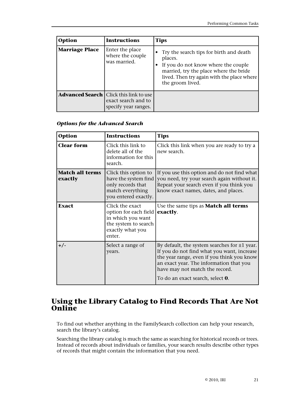| Option                | <b>Instructions</b>                                                                            | <b>Tips</b>                                                                                                                                                                                           |
|-----------------------|------------------------------------------------------------------------------------------------|-------------------------------------------------------------------------------------------------------------------------------------------------------------------------------------------------------|
| <b>Marriage Place</b> | Enter the place<br>where the couple<br>was married.                                            | Try the search tips for birth and death<br>places.<br>If you do not know where the couple<br>married, try the place where the bride<br>lived. Then try again with the place where<br>the groom lived. |
|                       | <b>Advanced Search</b>   Click this link to use<br>exact search and to<br>specify year ranges. |                                                                                                                                                                                                       |

#### *Options for the Advanced Search*

| Option                            | <b>Instructions</b>                                                                                                 | <b>Tips</b>                                                                                                                                                                                                                                                            |
|-----------------------------------|---------------------------------------------------------------------------------------------------------------------|------------------------------------------------------------------------------------------------------------------------------------------------------------------------------------------------------------------------------------------------------------------------|
| <b>Clear form</b>                 | Click this link to<br>delete all of the<br>information for this<br>search.                                          | Click this link when you are ready to try a<br>new search.                                                                                                                                                                                                             |
| <b>Match all terms</b><br>exactly | Click this option to<br>have the system find<br>only records that<br>match everything<br>you entered exactly.       | If you use this option and do not find what<br>you need, try your search again without it.<br>Repeat your search even if you think you<br>know exact names, dates, and places.                                                                                         |
| <b>Exact</b>                      | Click the exact<br>option for each field<br>in which you want<br>the system to search<br>exactly what you<br>enter. | Use the same tips as <b>Match all terms</b><br>exactly.                                                                                                                                                                                                                |
| $+/-$                             | Select a range of<br>years.                                                                                         | By default, the system searches for $\pm 1$ year.<br>If you do not find what you want, increase<br>the year range, even if you think you know<br>an exact year. The information that you<br>have may not match the record.<br>To do an exact search, select <b>0</b> . |

### <span id="page-20-0"></span>**Using the Library Catalog to Find Records That Are Not Online**

To find out whether anything in the FamilySearch collection can help your research, search the library's catalog.

Searching the library catalog is much the same as searching for historical records or trees. Instead of records about individuals or families, your search results describe other types of records that might contain the information that you need.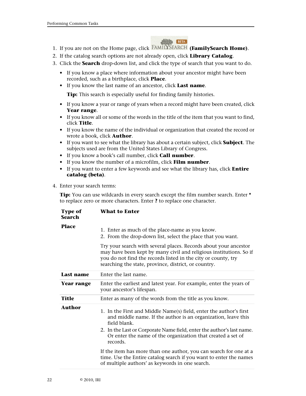

- 1. If you are not on the Home page, click **FAMILYSEARCH** (**FamilySearch Home**).
- 2. If the catalog search options are not already open, click **Library Catalog**.
- 3. Click the **Search** drop-down list, and click the type of search that you want to do.
	- If you know a place where information about your ancestor might have been recorded, such as a birthplace, click **Place**.
	- If you know the last name of an ancestor, click **Last name**.

**Tip:** This search is especially useful for finding family histories.

- If you know a year or range of years when a record might have been created, click **Year range**.
- If you know all or some of the words in the title of the item that you want to find, click **Title**.
- If you know the name of the individual or organization that created the record or wrote a book, click **Author**.
- If you want to see what the library has about a certain subject, click **Subject**. The subjects used are from the United States Library of Congress.
- If you know a book's call number, click **Call number**.
- If you know the number of a microfilm, click **Film number**.
- If you want to enter a few keywords and see what the library has, click **Entire catalog (beta)**.
- 4. Enter your search terms:

**Tip:** You can use wildcards in every search except the film number search. Enter **\*** to replace zero or more characters. Enter **?** to replace one character.

| <b>Type of</b><br><b>Search</b> | What to Enter                                                                                                                                                                                                                                                                                           |
|---------------------------------|---------------------------------------------------------------------------------------------------------------------------------------------------------------------------------------------------------------------------------------------------------------------------------------------------------|
| <b>Place</b>                    | 1. Enter as much of the place-name as you know.<br>2. From the drop-down list, select the place that you want.                                                                                                                                                                                          |
|                                 | Try your search with several places. Records about your ancestor<br>may have been kept by many civil and religious institutions. So if<br>you do not find the records listed in the city or county, try<br>searching the state, province, district, or country.                                         |
| Last name                       | Enter the last name.                                                                                                                                                                                                                                                                                    |
| <b>Year range</b>               | Enter the earliest and latest year. For example, enter the years of<br>your ancestor's lifespan.                                                                                                                                                                                                        |
| <b>Title</b>                    | Enter as many of the words from the title as you know.                                                                                                                                                                                                                                                  |
| Author                          | 1. In the First and Middle Name(s) field, enter the author's first<br>and middle name. If the author is an organization, leave this<br>field blank.<br>2. In the Last or Corporate Name field, enter the author's last name.<br>Or enter the name of the organization that created a set of<br>records. |
|                                 | If the item has more than one author, you can search for one at a<br>time. Use the Entire catalog search if you want to enter the names<br>of multiple authors' as keywords in one search.                                                                                                              |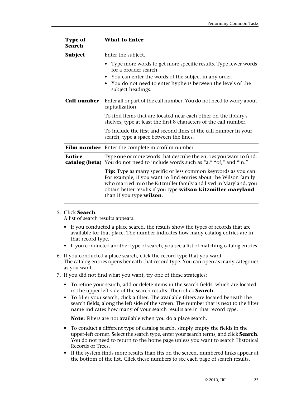| <b>Type of</b><br><b>Search</b> | <b>What to Enter</b>                                                                                                                                                                                                                                                                                       |
|---------------------------------|------------------------------------------------------------------------------------------------------------------------------------------------------------------------------------------------------------------------------------------------------------------------------------------------------------|
| Subject                         | Enter the subject.                                                                                                                                                                                                                                                                                         |
|                                 | Type more words to get more specific results. Type fewer words<br>for a broader search.<br>• You can enter the words of the subject in any order.<br>You do not need to enter hyphens between the levels of the<br>subject headings.                                                                       |
| <b>Call number</b>              | Enter all or part of the call number. You do not need to worry about<br>capitalization.                                                                                                                                                                                                                    |
|                                 | To find items that are located near each other on the library's<br>shelves, type at least the first 8 characters of the call number.                                                                                                                                                                       |
|                                 | To include the first and second lines of the call number in your<br>search, type a space between the lines.                                                                                                                                                                                                |
|                                 | <b>Film number</b> Enter the complete microfilm number.                                                                                                                                                                                                                                                    |
| <b>Entire</b>                   | Type one or more words that describe the entries you want to find.<br>catalog (beta) You do not need to include words such as "a," "of," and "in."                                                                                                                                                         |
|                                 | <b>Tip:</b> Type as many specific or less common keywords as you can.<br>For example, if you want to find entries about the Wilson family<br>who married into the Kitzmiller family and lived in Maryland, you<br>obtain better results if you type wilson kitzmiller maryland<br>than if you type wilson. |

#### 5. Click **Search**.

A list of search results appears.

- If you conducted a place search, the results show the types of records that are available for that place. The number indicates how many catalog entries are in that record type.
- If you conducted another type of search, you see a list of matching catalog entries.
- 6. If you conducted a place search, click the record type that you want The catalog entries opens beneath that record type. You can open as many categories as you want.
- 7. If you did not find what you want, try one of these strategies:
	- To refine your search, add or delete items in the search fields, which are located in the upper left side of the search results. Then click **Search**.
	- To filter your search, click a filter. The available filters are located beneath the search fields, along the left side of the screen. The number that is next to the filter name indicates how many of your search results are in that record type.

**Note:** Filters are not available when you do a place search.

- To conduct a different type of catalog search, simply empty the fields in the upper-left corner. Select the search type, enter your search terms, and click **Search**. You do not need to return to the home page unless you want to search Historical Records or Trees.
- If the system finds more results than fits on the screen, numbered links appear at the bottom of the list. Click these numbers to see each page of search results.